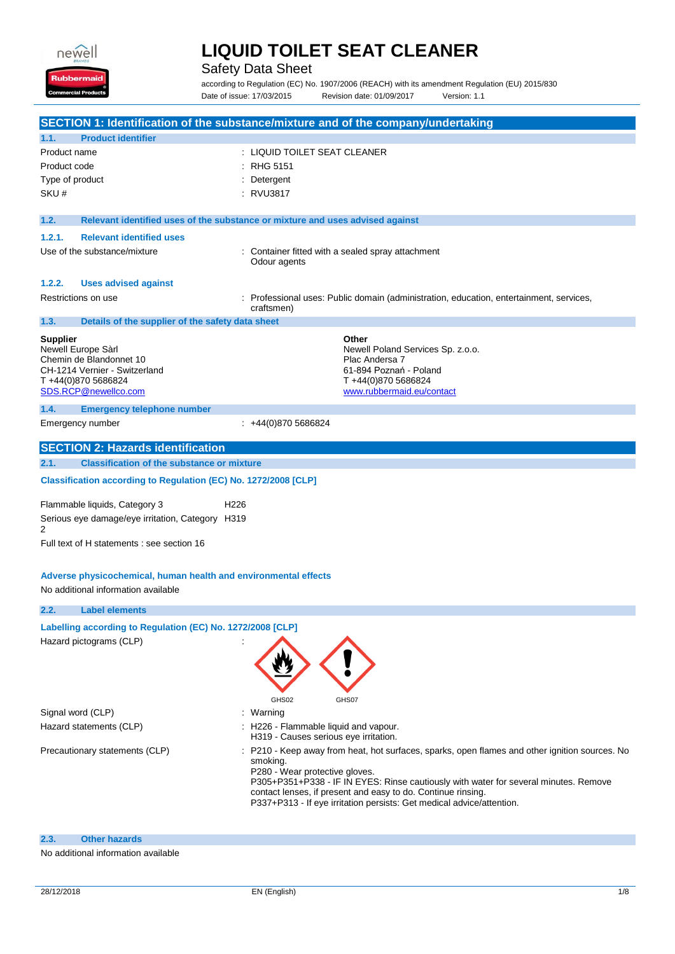

Safety Data Sheet

according to Regulation (EC) No. 1907/2006 (REACH) with its amendment Regulation (EU) 2015/830 Date of issue: 17/03/2015 Revision date: 01/09/2017 Version: 1.1

|                                                                                                                                                  | SECTION 1: Identification of the substance/mixture and of the company/undertaking                                                                                                                                                                                                                                                                                           |
|--------------------------------------------------------------------------------------------------------------------------------------------------|-----------------------------------------------------------------------------------------------------------------------------------------------------------------------------------------------------------------------------------------------------------------------------------------------------------------------------------------------------------------------------|
| 1.1.<br><b>Product identifier</b>                                                                                                                |                                                                                                                                                                                                                                                                                                                                                                             |
| Product name                                                                                                                                     | : LIQUID TOILET SEAT CLEANER                                                                                                                                                                                                                                                                                                                                                |
| Product code                                                                                                                                     | <b>RHG 5151</b>                                                                                                                                                                                                                                                                                                                                                             |
| Type of product                                                                                                                                  | : Detergent                                                                                                                                                                                                                                                                                                                                                                 |
| SKU#                                                                                                                                             | : RVU3817                                                                                                                                                                                                                                                                                                                                                                   |
|                                                                                                                                                  |                                                                                                                                                                                                                                                                                                                                                                             |
| 1.2.                                                                                                                                             | Relevant identified uses of the substance or mixture and uses advised against                                                                                                                                                                                                                                                                                               |
| 1.2.1.<br><b>Relevant identified uses</b>                                                                                                        |                                                                                                                                                                                                                                                                                                                                                                             |
| Use of the substance/mixture                                                                                                                     | : Container fitted with a sealed spray attachment<br>Odour agents                                                                                                                                                                                                                                                                                                           |
| 1.2.2.<br><b>Uses advised against</b>                                                                                                            |                                                                                                                                                                                                                                                                                                                                                                             |
| Restrictions on use                                                                                                                              | Professional uses: Public domain (administration, education, entertainment, services,<br>craftsmen)                                                                                                                                                                                                                                                                         |
| Details of the supplier of the safety data sheet<br>1.3.                                                                                         |                                                                                                                                                                                                                                                                                                                                                                             |
| <b>Supplier</b><br>Newell Europe Sàrl<br>Chemin de Blandonnet 10<br>CH-1214 Vernier - Switzerland<br>T +44(0)870 5686824<br>SDS.RCP@newellco.com | Other<br>Newell Poland Services Sp. z.o.o.<br>Plac Andersa 7<br>61-894 Poznań - Poland<br>T+44(0)870 5686824<br>www.rubbermaid.eu/contact                                                                                                                                                                                                                                   |
| 1.4.<br><b>Emergency telephone number</b>                                                                                                        |                                                                                                                                                                                                                                                                                                                                                                             |
| Emergency number                                                                                                                                 | $\div$ +44(0)870 5686824                                                                                                                                                                                                                                                                                                                                                    |
| <b>SECTION 2: Hazards identification</b>                                                                                                         |                                                                                                                                                                                                                                                                                                                                                                             |
| 2.1.<br><b>Classification of the substance or mixture</b>                                                                                        |                                                                                                                                                                                                                                                                                                                                                                             |
|                                                                                                                                                  |                                                                                                                                                                                                                                                                                                                                                                             |
| Classification according to Regulation (EC) No. 1272/2008 [CLP]                                                                                  |                                                                                                                                                                                                                                                                                                                                                                             |
| Flammable liquids, Category 3<br>H <sub>226</sub><br>Serious eye damage/eye irritation, Category H319<br>2                                       |                                                                                                                                                                                                                                                                                                                                                                             |
| Full text of H statements : see section 16                                                                                                       |                                                                                                                                                                                                                                                                                                                                                                             |
| Adverse physicochemical, human health and environmental effects<br>No additional information available                                           |                                                                                                                                                                                                                                                                                                                                                                             |
| 2.2.<br><b>Label elements</b>                                                                                                                    |                                                                                                                                                                                                                                                                                                                                                                             |
| Labelling according to Regulation (EC) No. 1272/2008 [CLP]<br>Hazard pictograms (CLP)                                                            | GHS02<br>GHS07                                                                                                                                                                                                                                                                                                                                                              |
| Signal word (CLP)                                                                                                                                | Warning                                                                                                                                                                                                                                                                                                                                                                     |
| Hazard statements (CLP)                                                                                                                          | H226 - Flammable liquid and vapour.<br>H319 - Causes serious eye irritation.                                                                                                                                                                                                                                                                                                |
| Precautionary statements (CLP)                                                                                                                   | P210 - Keep away from heat, hot surfaces, sparks, open flames and other ignition sources. No<br>smoking.<br>P280 - Wear protective gloves.<br>P305+P351+P338 - IF IN EYES: Rinse cautiously with water for several minutes. Remove<br>contact lenses, if present and easy to do. Continue rinsing.<br>P337+P313 - If eye irritation persists: Get medical advice/attention. |
| <b>Other hazards</b><br>2.3.                                                                                                                     |                                                                                                                                                                                                                                                                                                                                                                             |

### No additional information available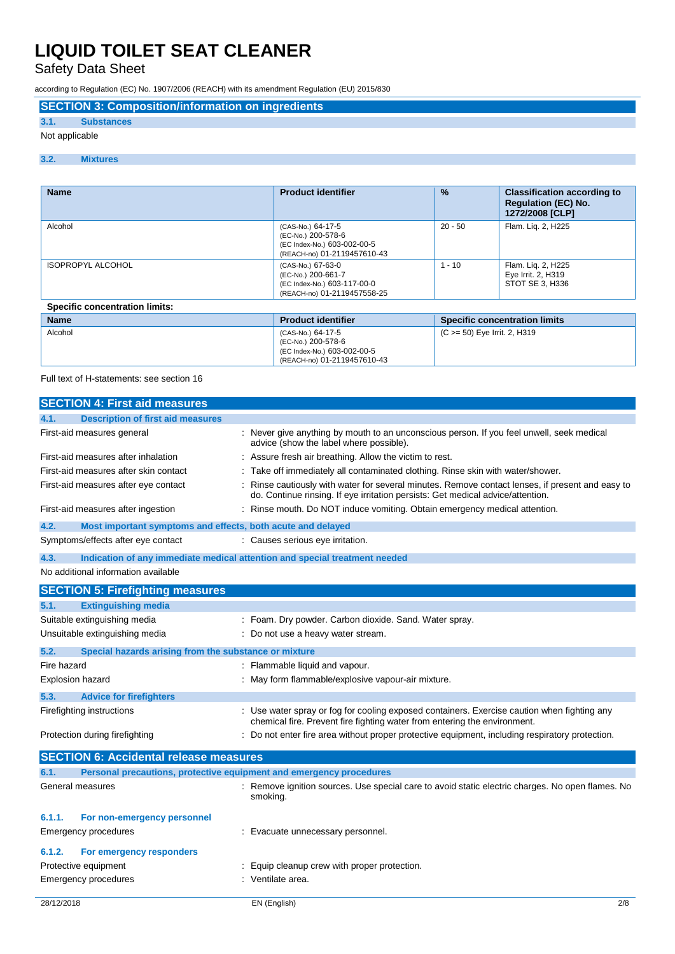Safety Data Sheet

according to Regulation (EC) No. 1907/2006 (REACH) with its amendment Regulation (EU) 2015/830

## **SECTION 3: Composition/information on ingredients**

### **3.1. Substances**

### Not applicable

### **3.2. Mixtures**

| <b>Name</b>                           | <b>Product identifier</b>                                                                             | $\frac{9}{6}$ | <b>Classification according to</b><br><b>Regulation (EC) No.</b><br>1272/2008 [CLP] |
|---------------------------------------|-------------------------------------------------------------------------------------------------------|---------------|-------------------------------------------------------------------------------------|
| Alcohol                               | (CAS-No.) 64-17-5<br>(EC-No.) 200-578-6<br>(EC Index-No.) 603-002-00-5<br>(REACH-no) 01-2119457610-43 | $20 - 50$     | Flam. Lig. 2, H225                                                                  |
| <b>ISOPROPYL ALCOHOL</b>              | (CAS-No.) 67-63-0<br>(EC-No.) 200-661-7<br>(EC Index-No.) 603-117-00-0<br>(REACH-no) 01-2119457558-25 | $-10$         | Flam. Liq. 2, H225<br>Eye Irrit. 2, H319<br>STOT SE 3. H336                         |
| <b>Specific concentration limits:</b> |                                                                                                       |               |                                                                                     |
|                                       |                                                                                                       |               |                                                                                     |

| <b>Name</b> | <b>Product identifier</b>                                                                             | <b>Specific concentration limits</b> |
|-------------|-------------------------------------------------------------------------------------------------------|--------------------------------------|
| Alcohol     | (CAS-No.) 64-17-5<br>(EC-No.) 200-578-6<br>(EC Index-No.) 603-002-00-5<br>(REACH-no) 01-2119457610-43 | (C >= 50) Eye Irrit. 2, H319         |

Full text of H-statements: see section 16

|                                     | <b>SECTION 4: First aid measures</b>                               |                                                                                                                                                                                   |
|-------------------------------------|--------------------------------------------------------------------|-----------------------------------------------------------------------------------------------------------------------------------------------------------------------------------|
| 4.1.                                | <b>Description of first aid measures</b>                           |                                                                                                                                                                                   |
|                                     | First-aid measures general                                         | Never give anything by mouth to an unconscious person. If you feel unwell, seek medical<br>advice (show the label where possible).                                                |
| First-aid measures after inhalation |                                                                    | Assure fresh air breathing. Allow the victim to rest.                                                                                                                             |
|                                     | First-aid measures after skin contact                              | Take off immediately all contaminated clothing. Rinse skin with water/shower.                                                                                                     |
|                                     | First-aid measures after eye contact                               | Rinse cautiously with water for several minutes. Remove contact lenses, if present and easy to<br>do. Continue rinsing. If eye irritation persists: Get medical advice/attention. |
|                                     | First-aid measures after ingestion                                 | Rinse mouth. Do NOT induce vomiting. Obtain emergency medical attention.                                                                                                          |
| 4.2.                                | Most important symptoms and effects, both acute and delayed        |                                                                                                                                                                                   |
|                                     | Symptoms/effects after eye contact                                 | : Causes serious eye irritation.                                                                                                                                                  |
| 4.3.                                |                                                                    | Indication of any immediate medical attention and special treatment needed                                                                                                        |
|                                     | No additional information available                                |                                                                                                                                                                                   |
|                                     | <b>SECTION 5: Firefighting measures</b>                            |                                                                                                                                                                                   |
| 5.1.                                | <b>Extinguishing media</b>                                         |                                                                                                                                                                                   |
|                                     | Suitable extinguishing media                                       | Foam. Dry powder. Carbon dioxide. Sand. Water spray.                                                                                                                              |
|                                     | Unsuitable extinguishing media<br>Do not use a heavy water stream. |                                                                                                                                                                                   |
| 5.2.                                | Special hazards arising from the substance or mixture              |                                                                                                                                                                                   |
| Fire hazard                         |                                                                    | Flammable liquid and vapour.                                                                                                                                                      |
|                                     | Explosion hazard                                                   | May form flammable/explosive vapour-air mixture.                                                                                                                                  |
| 5.3.                                | <b>Advice for firefighters</b>                                     |                                                                                                                                                                                   |
|                                     | Firefighting instructions                                          | : Use water spray or fog for cooling exposed containers. Exercise caution when fighting any<br>chemical fire. Prevent fire fighting water from entering the environment.          |
|                                     | Protection during firefighting                                     | Do not enter fire area without proper protective equipment, including respiratory protection.                                                                                     |
|                                     | <b>SECTION 6: Accidental release measures</b>                      |                                                                                                                                                                                   |
| 6.1.                                |                                                                    | Personal precautions, protective equipment and emergency procedures                                                                                                               |
|                                     | General measures                                                   | : Remove ignition sources. Use special care to avoid static electric charges. No open flames. No<br>smoking.                                                                      |
| 6.1.1.                              | For non-emergency personnel                                        |                                                                                                                                                                                   |
|                                     | Emergency procedures                                               | Evacuate unnecessary personnel.                                                                                                                                                   |
| 6.1.2.                              | For emergency responders                                           |                                                                                                                                                                                   |
|                                     | Protective equipment                                               | Equip cleanup crew with proper protection.                                                                                                                                        |
|                                     | Emergency procedures                                               | Ventilate area.                                                                                                                                                                   |
| 28/12/2018                          |                                                                    | 2/8<br>EN (English)                                                                                                                                                               |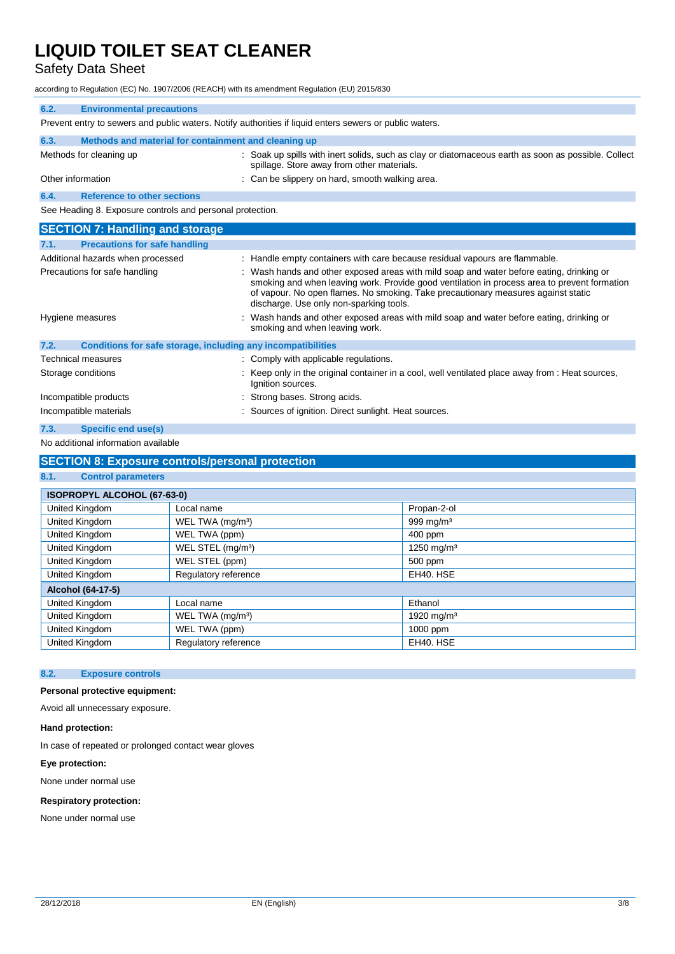## Safety Data Sheet

according to Regulation (EC) No. 1907/2006 (REACH) with its amendment Regulation (EU) 2015/830

| 6.2.<br><b>Environmental precautions</b>                             |                                                                                                                                                                                                                                                                                                                        |
|----------------------------------------------------------------------|------------------------------------------------------------------------------------------------------------------------------------------------------------------------------------------------------------------------------------------------------------------------------------------------------------------------|
|                                                                      | Prevent entry to sewers and public waters. Notify authorities if liquid enters sewers or public waters.                                                                                                                                                                                                                |
| 6.3.<br>Methods and material for containment and cleaning up         |                                                                                                                                                                                                                                                                                                                        |
| Methods for cleaning up                                              | : Soak up spills with inert solids, such as clay or diatomaceous earth as soon as possible. Collect<br>spillage. Store away from other materials.                                                                                                                                                                      |
| Other information                                                    | : Can be slippery on hard, smooth walking area.                                                                                                                                                                                                                                                                        |
| <b>Reference to other sections</b><br>6.4.                           |                                                                                                                                                                                                                                                                                                                        |
| See Heading 8. Exposure controls and personal protection.            |                                                                                                                                                                                                                                                                                                                        |
| <b>SECTION 7: Handling and storage</b>                               |                                                                                                                                                                                                                                                                                                                        |
| <b>Precautions for safe handling</b><br>7.1.                         |                                                                                                                                                                                                                                                                                                                        |
| Additional hazards when processed                                    | : Handle empty containers with care because residual vapours are flammable.                                                                                                                                                                                                                                            |
| Precautions for safe handling                                        | Wash hands and other exposed areas with mild soap and water before eating, drinking or<br>smoking and when leaving work. Provide good ventilation in process area to prevent formation<br>of vapour. No open flames. No smoking. Take precautionary measures against static<br>discharge. Use only non-sparking tools. |
| Hygiene measures                                                     | Wash hands and other exposed areas with mild soap and water before eating, drinking or<br>smoking and when leaving work.                                                                                                                                                                                               |
| Conditions for safe storage, including any incompatibilities<br>7.2. |                                                                                                                                                                                                                                                                                                                        |
| <b>Technical measures</b>                                            | : Comply with applicable regulations.                                                                                                                                                                                                                                                                                  |
| Storage conditions                                                   | Keep only in the original container in a cool, well ventilated place away from : Heat sources,<br>Ignition sources.                                                                                                                                                                                                    |
| Incompatible products                                                | Strong bases. Strong acids.                                                                                                                                                                                                                                                                                            |
| Incompatible materials                                               | Sources of ignition. Direct sunlight. Heat sources.                                                                                                                                                                                                                                                                    |
| 7.3.<br><b>Specific end use(s)</b>                                   |                                                                                                                                                                                                                                                                                                                        |

#### No additional information available

### **SECTION 8: Exposure controls/personal protection**

#### **8.1. Control parameters**

| ISOPROPYL ALCOHOL (67-63-0) |                               |                        |
|-----------------------------|-------------------------------|------------------------|
| United Kingdom              | Local name                    | Propan-2-ol            |
| United Kingdom              | WEL TWA (mg/m <sup>3</sup> )  | 999 mg/m <sup>3</sup>  |
| United Kingdom              | WEL TWA (ppm)                 | 400 ppm                |
| United Kingdom              | WEL STEL (mg/m <sup>3</sup> ) | 1250 mg/m <sup>3</sup> |
| United Kingdom              | WEL STEL (ppm)                | 500 ppm                |
| United Kingdom              | Regulatory reference          | EH40. HSE              |
| Alcohol (64-17-5)           |                               |                        |
| United Kingdom              | Local name                    | Ethanol                |
| United Kingdom              | WEL TWA (mg/m <sup>3</sup> )  | 1920 mg/m <sup>3</sup> |
| United Kingdom              | WEL TWA (ppm)                 | 1000 ppm               |
| United Kingdom              | Regulatory reference          | EH40. HSE              |

#### **8.2. Exposure controls**

### **Personal protective equipment:**

Avoid all unnecessary exposure.

#### **Hand protection:**

In case of repeated or prolonged contact wear gloves

#### **Eye protection:**

None under normal use

### **Respiratory protection:**

None under normal use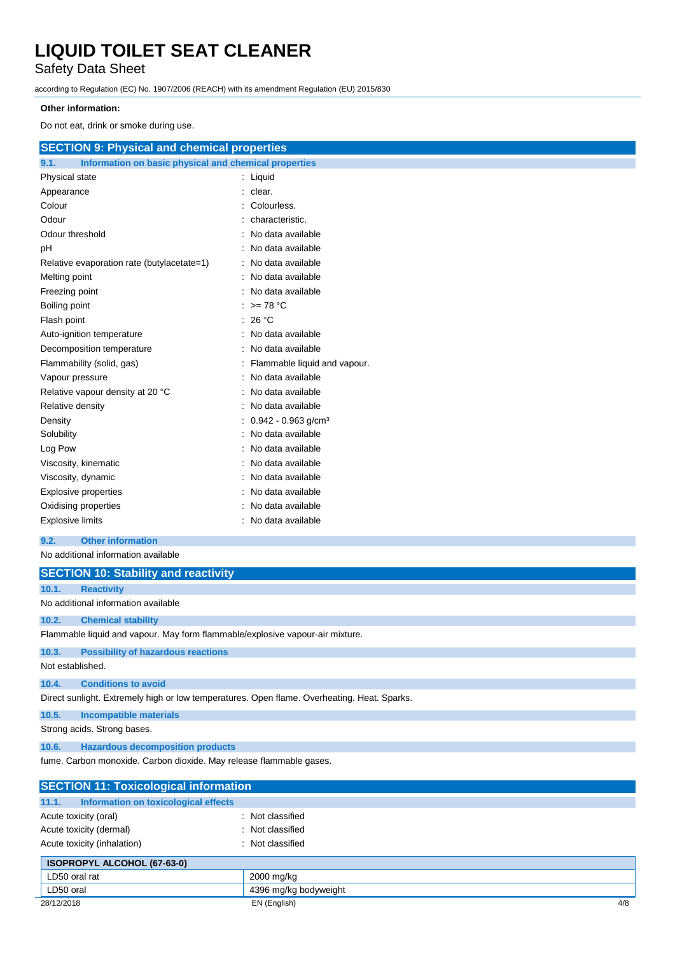Safety Data Sheet

according to Regulation (EC) No. 1907/2006 (REACH) with its amendment Regulation (EU) 2015/830

### **Other information:**

Do not eat, drink or smoke during use.

| <b>SECTION 9: Physical and chemical properties</b>            |                                   |
|---------------------------------------------------------------|-----------------------------------|
| 9.1.<br>Information on basic physical and chemical properties |                                   |
| Physical state                                                | : Liquid                          |
| Appearance                                                    | $:$ clear.                        |
| Colour                                                        | Colourless.                       |
| Odour                                                         | characteristic.                   |
| Odour threshold                                               | No data available                 |
| рH                                                            | No data available                 |
| Relative evaporation rate (butylacetate=1)                    | : No data available               |
| Melting point                                                 | : No data available               |
| Freezing point                                                | No data available                 |
| Boiling point                                                 | $\therefore$ >= 78 °C             |
| Flash point                                                   | : 26 $^{\circ}$ C                 |
| Auto-ignition temperature                                     | : No data available               |
| Decomposition temperature                                     | : No data available               |
| Flammability (solid, gas)                                     | : Flammable liquid and vapour.    |
| Vapour pressure                                               | No data available                 |
| Relative vapour density at 20 °C                              | : No data available               |
| Relative density                                              | : No data available               |
| Density                                                       | $0.942 - 0.963$ g/cm <sup>3</sup> |
| Solubility                                                    | No data available                 |
| Log Pow                                                       | : No data available               |
| Viscosity, kinematic                                          | No data available                 |
| Viscosity, dynamic                                            | No data available                 |
| <b>Explosive properties</b>                                   | No data available                 |
| Oxidising properties                                          | No data available                 |
| <b>Explosive limits</b>                                       | No data available                 |
|                                                               |                                   |

### **9.2. Other information**

No additional information available

|                  | <b>SECTION 10: Stability and reactivity</b>                                                 |
|------------------|---------------------------------------------------------------------------------------------|
| 10.1.            | <b>Reactivity</b>                                                                           |
|                  | No additional information available                                                         |
| 10.2.            | <b>Chemical stability</b>                                                                   |
|                  | Flammable liquid and vapour. May form flammable/explosive vapour-air mixture.               |
| 10.3.            | <b>Possibility of hazardous reactions</b>                                                   |
| Not established. |                                                                                             |
| 10.4.            | <b>Conditions to avoid</b>                                                                  |
|                  | Direct sunlight. Extremely high or low temperatures. Open flame. Overheating. Heat. Sparks. |
| 10.5.            | <b>Incompatible materials</b>                                                               |
|                  | Strong acids. Strong bases.                                                                 |
| 10.6.            | <b>Hazardous decomposition products</b>                                                     |

fume. Carbon monoxide. Carbon dioxide. May release flammable gases.

| <b>SECTION 11: Toxicological information</b>  |                       |     |
|-----------------------------------------------|-----------------------|-----|
| Information on toxicological effects<br>11.1. |                       |     |
| Acute toxicity (oral)                         | : Not classified      |     |
| Acute toxicity (dermal)                       | : Not classified      |     |
| Acute toxicity (inhalation)                   | : Not classified      |     |
| <b>ISOPROPYL ALCOHOL (67-63-0)</b>            |                       |     |
| LD50 oral rat                                 | 2000 mg/kg            |     |
| LD50 oral                                     | 4396 mg/kg bodyweight |     |
| 28/12/2018                                    | EN (English)          | 4/8 |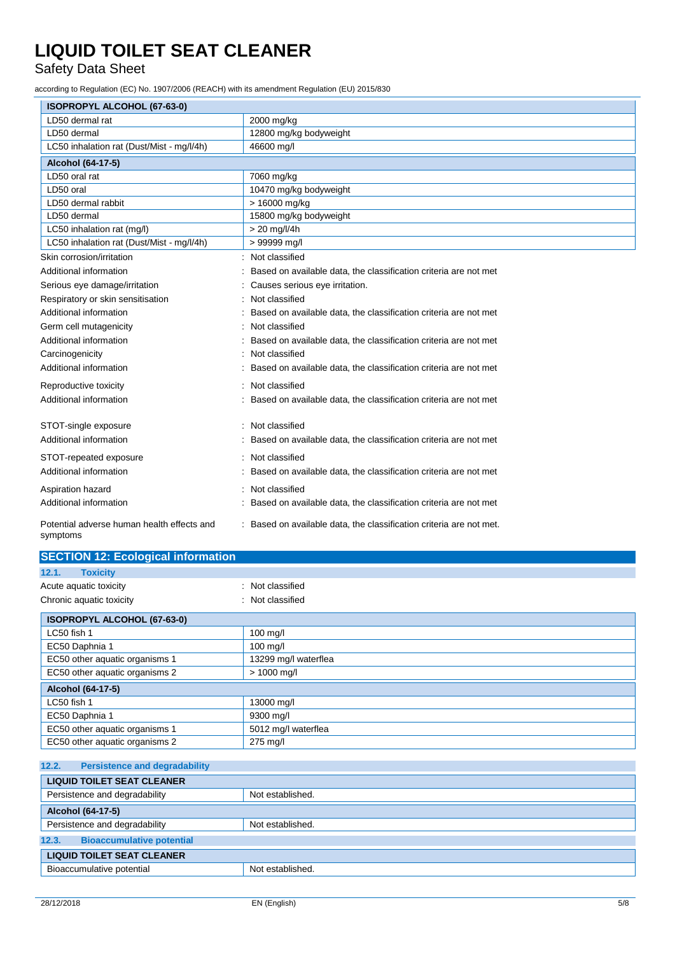Safety Data Sheet

according to Regulation (EC) No. 1907/2006 (REACH) with its amendment Regulation (EU) 2015/830

| ISOPROPYL ALCOHOL (67-63-0)                            |                                                                   |  |
|--------------------------------------------------------|-------------------------------------------------------------------|--|
| LD50 dermal rat                                        | 2000 mg/kg                                                        |  |
| LD50 dermal                                            | 12800 mg/kg bodyweight                                            |  |
| LC50 inhalation rat (Dust/Mist - mg/l/4h)              | 46600 mg/l                                                        |  |
| Alcohol (64-17-5)                                      |                                                                   |  |
| LD50 oral rat                                          | 7060 mg/kg                                                        |  |
| LD50 oral                                              | 10470 mg/kg bodyweight                                            |  |
| LD50 dermal rabbit                                     | > 16000 mg/kg                                                     |  |
| LD50 dermal                                            | 15800 mg/kg bodyweight                                            |  |
| LC50 inhalation rat (mg/l)                             | $> 20$ mg/l/4h                                                    |  |
| LC50 inhalation rat (Dust/Mist - mg/l/4h)              | > 99999 mg/l                                                      |  |
| Skin corrosion/irritation                              | Not classified<br>$\blacksquare$                                  |  |
| Additional information                                 | Based on available data, the classification criteria are not met  |  |
| Serious eye damage/irritation                          | Causes serious eye irritation.                                    |  |
| Respiratory or skin sensitisation                      | Not classified                                                    |  |
| Additional information                                 | Based on available data, the classification criteria are not met  |  |
| Germ cell mutagenicity                                 | Not classified                                                    |  |
| Additional information                                 | Based on available data, the classification criteria are not met  |  |
| Carcinogenicity                                        | Not classified                                                    |  |
| Additional information                                 | Based on available data, the classification criteria are not met  |  |
| Reproductive toxicity                                  | Not classified                                                    |  |
| Additional information                                 | Based on available data, the classification criteria are not met  |  |
| STOT-single exposure                                   | Not classified                                                    |  |
| Additional information                                 | Based on available data, the classification criteria are not met  |  |
| STOT-repeated exposure                                 | Not classified<br>$\blacksquare$                                  |  |
| Additional information                                 | Based on available data, the classification criteria are not met  |  |
| Aspiration hazard                                      | Not classified                                                    |  |
| Additional information                                 | Based on available data, the classification criteria are not met  |  |
|                                                        |                                                                   |  |
| Potential adverse human health effects and<br>symptoms | Based on available data, the classification criteria are not met. |  |

|  | <b>SECTION 12: Ecological information</b> |
|--|-------------------------------------------|

| 12.1.<br><b>Toxicity</b>                   |                      |  |
|--------------------------------------------|----------------------|--|
| Acute aquatic toxicity<br>: Not classified |                      |  |
| Chronic aquatic toxicity                   | : Not classified     |  |
| <b>ISOPROPYL ALCOHOL (67-63-0)</b>         |                      |  |
| LC50 fish 1                                | 100 mg/l             |  |
| EC50 Daphnia 1                             | 100 mg/l             |  |
| EC50 other aquatic organisms 1             | 13299 mg/l waterflea |  |
| EC50 other aquatic organisms 2             | $> 1000$ mg/l        |  |
| Alcohol (64-17-5)                          |                      |  |
| LC50 fish 1                                | 13000 mg/l           |  |
| EC50 Daphnia 1                             | 9300 mg/l            |  |
| EC50 other aquatic organisms 1             | 5012 mg/l waterflea  |  |
| EC50 other aquatic organisms 2             | 275 mg/l             |  |

| 12.2.<br><b>Persistence and degradability</b> |                  |  |
|-----------------------------------------------|------------------|--|
| <b>LIQUID TOILET SEAT CLEANER</b>             |                  |  |
| Persistence and degradability                 | Not established. |  |
| Alcohol (64-17-5)                             |                  |  |
| Persistence and degradability                 | Not established. |  |
| <b>Bioaccumulative potential</b><br>12.3.     |                  |  |
| <b>LIQUID TOILET SEAT CLEANER</b>             |                  |  |
| Bioaccumulative potential                     | Not established. |  |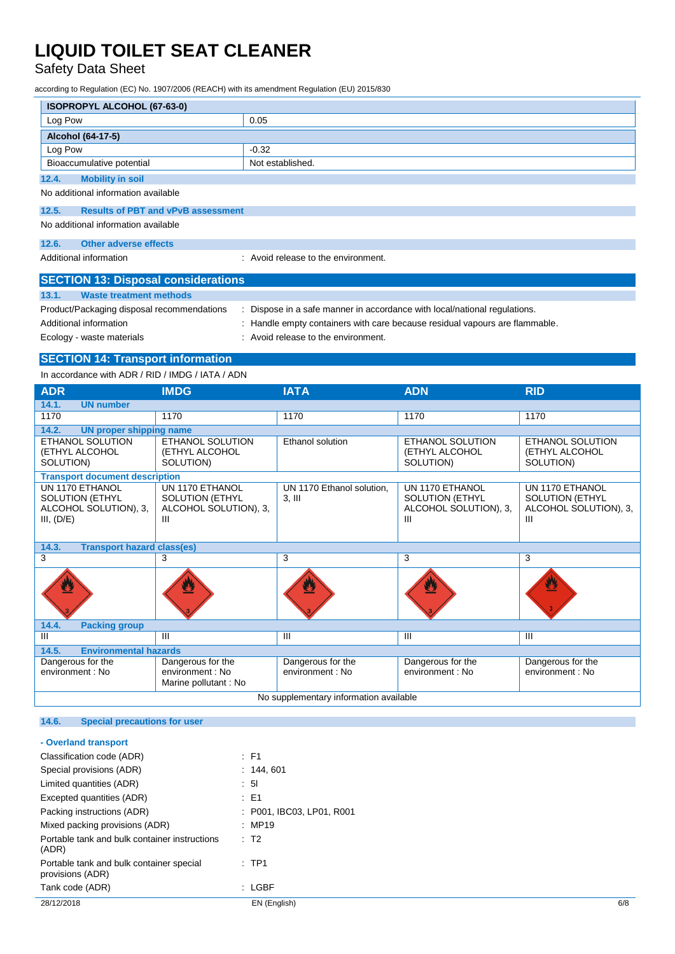Safety Data Sheet

according to Regulation (EC) No. 1907/2006 (REACH) with its amendment Regulation (EU) 2015/830

| <b>ISOPROPYL ALCOHOL (67-63-0)</b>                            |                  |  |  |
|---------------------------------------------------------------|------------------|--|--|
| Log Pow                                                       | 0.05             |  |  |
| Alcohol (64-17-5)                                             |                  |  |  |
| Log Pow                                                       | $-0.32$          |  |  |
| Bioaccumulative potential                                     | Not established. |  |  |
| <b>Mobility in soil</b><br>12.4.                              |                  |  |  |
| No additional information available                           |                  |  |  |
| 12.5.<br><b>Results of PBT and vPvB assessment</b>            |                  |  |  |
| No additional information available                           |                  |  |  |
| Other adverse effects<br>12.6.                                |                  |  |  |
| : Avoid release to the environment.<br>Additional information |                  |  |  |

| <b>SECTION 13: Disposal considerations</b> |                                                                             |  |  |
|--------------------------------------------|-----------------------------------------------------------------------------|--|--|
| 13.1.<br>Waste treatment methods           |                                                                             |  |  |
| Product/Packaging disposal recommendations | Dispose in a safe manner in accordance with local/national regulations.     |  |  |
| Additional information                     | : Handle empty containers with care because residual vapours are flammable. |  |  |
| Ecology - waste materials                  | : Avoid release to the environment.                                         |  |  |

### **SECTION 14: Transport information**

In accordance with ADR / RID / IMDG / IATA / ADN

| <b>ADR</b>                                                                       | <b>IMDG</b>                                                             | <b>IATA</b>                           | <b>ADN</b>                                                              | <b>RID</b>                                                              |
|----------------------------------------------------------------------------------|-------------------------------------------------------------------------|---------------------------------------|-------------------------------------------------------------------------|-------------------------------------------------------------------------|
| 14.1.<br><b>UN number</b>                                                        |                                                                         |                                       |                                                                         |                                                                         |
| 1170                                                                             | 1170                                                                    | 1170                                  | 1170                                                                    | 1170                                                                    |
| 14.2.<br><b>UN proper shipping name</b>                                          |                                                                         |                                       |                                                                         |                                                                         |
| <b>ETHANOL SOLUTION</b><br>(ETHYL ALCOHOL<br>SOLUTION)                           | <b>ETHANOL SOLUTION</b><br>(ETHYL ALCOHOL<br>SOLUTION)                  | Ethanol solution                      | ETHANOL SOLUTION<br>(ETHYL ALCOHOL<br>SOLUTION)                         | ETHANOL SOLUTION<br>(ETHYL ALCOHOL<br>SOLUTION)                         |
| <b>Transport document description</b>                                            |                                                                         |                                       |                                                                         |                                                                         |
| UN 1170 ETHANOL<br><b>SOLUTION (ETHYL</b><br>ALCOHOL SOLUTION), 3,<br>III, (D/E) | UN 1170 ETHANOL<br><b>SOLUTION (ETHYL</b><br>ALCOHOL SOLUTION), 3,<br>Ш | UN 1170 Ethanol solution.<br>$3.$ III | UN 1170 ETHANOL<br><b>SOLUTION (ETHYL</b><br>ALCOHOL SOLUTION), 3,<br>Ш | UN 1170 ETHANOL<br><b>SOLUTION (ETHYL</b><br>ALCOHOL SOLUTION), 3,<br>Ш |
| <b>Transport hazard class(es)</b><br>14.3.                                       |                                                                         |                                       |                                                                         |                                                                         |
| 3                                                                                | 3                                                                       | 3                                     | 3                                                                       | 3                                                                       |
|                                                                                  |                                                                         |                                       |                                                                         | V                                                                       |
| 14.4.<br><b>Packing group</b>                                                    |                                                                         |                                       |                                                                         |                                                                         |
| Ш                                                                                | Ш                                                                       | $\mathbf{III}$                        | Ш                                                                       | Ш                                                                       |
| <b>Environmental hazards</b><br>14.5.                                            |                                                                         |                                       |                                                                         |                                                                         |
| Dangerous for the<br>environment: No                                             | Dangerous for the<br>environment : No<br>Marine pollutant: No           | Dangerous for the<br>environment: No  | Dangerous for the<br>environment : No                                   | Dangerous for the<br>environment: No                                    |
| No supplementary information available                                           |                                                                         |                                       |                                                                         |                                                                         |

### **14.6. Special precautions for user**

| - Overland transport                                         |                             |     |
|--------------------------------------------------------------|-----------------------------|-----|
| Classification code (ADR)                                    | $\therefore$ F1             |     |
| Special provisions (ADR)                                     | : 144.601                   |     |
| Limited quantities (ADR)                                     | : 51                        |     |
| Excepted quantities (ADR)                                    | $\therefore$ E1             |     |
| Packing instructions (ADR)                                   | : P001. IBC03. LP01. R001   |     |
| Mixed packing provisions (ADR)                               | : MP19                      |     |
| Portable tank and bulk container instructions<br>(ADR)       | $\therefore$ T <sub>2</sub> |     |
| Portable tank and bulk container special<br>provisions (ADR) | $:$ TP1                     |     |
| Tank code (ADR)                                              | : LGBF                      |     |
| 28/12/2018                                                   | EN (English)                | 6/8 |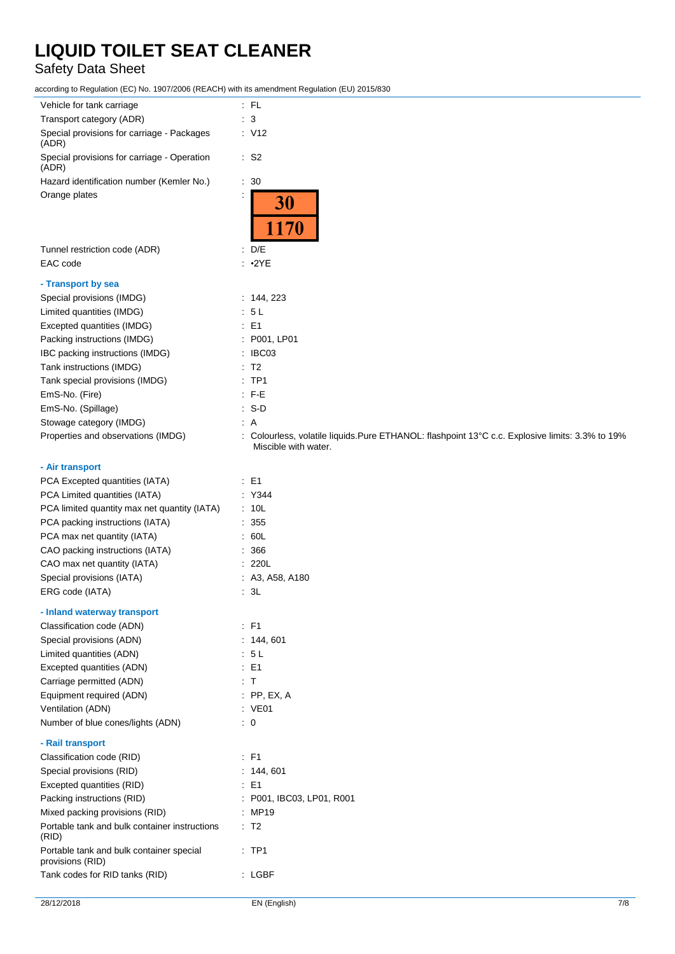## Safety Data Sheet

according to Regulation (EC) No. 1907/2006 (REACH) with its amendment Regulation (EU) 2015/830

| Vehicle for tank carriage                                    | $\therefore$ FL                                                                                                         |
|--------------------------------------------------------------|-------------------------------------------------------------------------------------------------------------------------|
| Transport category (ADR)                                     | $\therefore$ 3                                                                                                          |
| Special provisions for carriage - Packages<br>(ADR)          | $\therefore$ V12                                                                                                        |
| Special provisions for carriage - Operation<br>(ADR)         | $\cdot$ S2                                                                                                              |
| Hazard identification number (Kemler No.)                    | $\therefore$ 30                                                                                                         |
| Orange plates                                                | 30<br>1170                                                                                                              |
| Tunnel restriction code (ADR)                                | $\therefore$ D/E                                                                                                        |
| EAC code                                                     | $\cdot$ •2YE                                                                                                            |
|                                                              |                                                                                                                         |
| - Transport by sea                                           |                                                                                                                         |
| Special provisions (IMDG)                                    | : 144, 223                                                                                                              |
| Limited quantities (IMDG)                                    | : 5L                                                                                                                    |
| Excepted quantities (IMDG)                                   | $\therefore$ E1                                                                                                         |
| Packing instructions (IMDG)                                  | : P001, LP01                                                                                                            |
| IBC packing instructions (IMDG)                              | : IBCO3                                                                                                                 |
| Tank instructions (IMDG)                                     | $\therefore$ T2                                                                                                         |
| Tank special provisions (IMDG)                               | $:$ TP1                                                                                                                 |
| EmS-No. (Fire)                                               | $:$ F-E                                                                                                                 |
| EmS-No. (Spillage)                                           | $\therefore$ S-D                                                                                                        |
| Stowage category (IMDG)                                      | $\therefore$ A                                                                                                          |
| Properties and observations (IMDG)                           | : Colourless, volatile liquids.Pure ETHANOL: flashpoint 13°C c.c. Explosive limits: 3.3% to 19%<br>Miscible with water. |
| - Air transport                                              |                                                                                                                         |
| PCA Excepted quantities (IATA)                               | $\therefore$ E1                                                                                                         |
| PCA Limited quantities (IATA)                                | : Y344                                                                                                                  |
| PCA limited quantity max net quantity (IATA)                 | : 10L                                                                                                                   |
| PCA packing instructions (IATA)                              | 355                                                                                                                     |
|                                                              | .60L                                                                                                                    |
| PCA max net quantity (IATA)                                  |                                                                                                                         |
| CAO packing instructions (IATA)                              | $\therefore$ 366                                                                                                        |
| CAO max net quantity (IATA)                                  | : 220L                                                                                                                  |
| Special provisions (IATA)                                    | : A3, A58, A180                                                                                                         |
| ERG code (IATA)                                              | $\therefore$ 3L                                                                                                         |
| - Inland waterway transport                                  |                                                                                                                         |
| Classification code (ADN)                                    | $\therefore$ F1                                                                                                         |
| Special provisions (ADN)                                     | : 144, 601                                                                                                              |
| Limited quantities (ADN)                                     | : 5L                                                                                                                    |
| Excepted quantities (ADN)                                    | $\therefore$ E1                                                                                                         |
| Carriage permitted (ADN)                                     | : T                                                                                                                     |
| Equipment required (ADN)                                     | $:$ PP, EX, A                                                                                                           |
| Ventilation (ADN)                                            | : VE01                                                                                                                  |
| Number of blue cones/lights (ADN)                            | $\therefore$ 0                                                                                                          |
|                                                              |                                                                                                                         |
| - Rail transport                                             |                                                                                                                         |
| Classification code (RID)                                    | $\therefore$ F1                                                                                                         |
| Special provisions (RID)                                     | : 144, 601                                                                                                              |
| Excepted quantities (RID)                                    | $\therefore$ E1                                                                                                         |
| Packing instructions (RID)                                   | : P001, IBC03, LP01, R001                                                                                               |
| Mixed packing provisions (RID)                               | : MP19                                                                                                                  |
| Portable tank and bulk container instructions<br>(RID)       | $\therefore$ T2                                                                                                         |
| Portable tank and bulk container special<br>provisions (RID) | $\therefore$ TP1                                                                                                        |
| Tank codes for RID tanks (RID)                               | : LGBF                                                                                                                  |